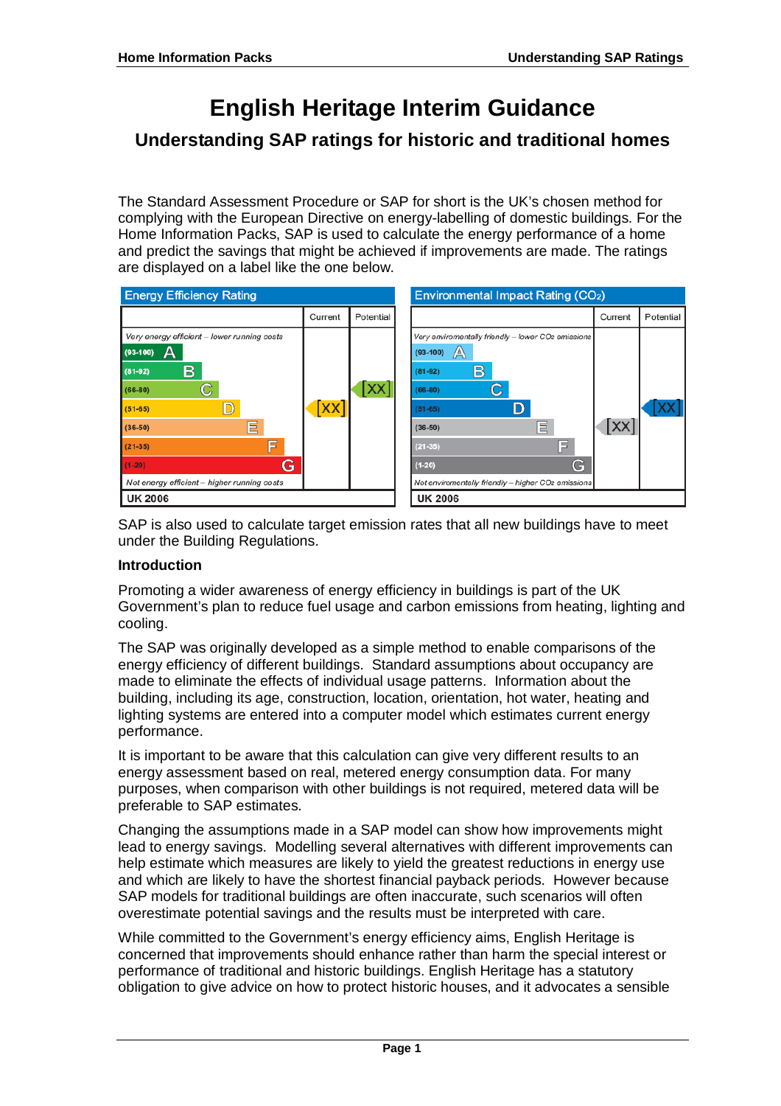# **English Heritage Interim Guidance**

# **Understanding SAP ratings for historic and traditional homes**

The Standard Assessment Procedure or SAP for short is the UK's chosen method for complying with the European Directive on energy-labelling of domestic buildings. For the Home Information Packs, SAP is used to calculate the energy performance of a home and predict the savings that might be achieved if improvements are made. The ratings are displayed on a label like the one below.



SAP is also used to calculate target emission rates that all new buildings have to meet under the Building Regulations.

#### **Introduction**

Promoting a wider awareness of energy efficiency in buildings is part of the UK Government's plan to reduce fuel usage and carbon emissions from heating, lighting and cooling.

The SAP was originally developed as a simple method to enable comparisons of the energy efficiency of different buildings. Standard assumptions about occupancy are made to eliminate the effects of individual usage patterns. Information about the building, including its age, construction, location, orientation, hot water, heating and lighting systems are entered into a computer model which estimates current energy performance.

 It is important to be aware that this calculation can give very different results to an energy assessment based on real, metered energy consumption data. For many purposes, when comparison with other buildings is not required, metered data will be preferable to SAP estimates.

Changing the assumptions made in a SAP model can show how improvements might lead to energy savings. Modelling several alternatives with different improvements can help estimate which measures are likely to yield the greatest reductions in energy use and which are likely to have the shortest financial payback periods. However because SAP models for traditional buildings are often inaccurate, such scenarios will often overestimate potential savings and the results must be interpreted with care.

While committed to the Government's energy efficiency aims, English Heritage is concerned that improvements should enhance rather than harm the special interest or performance of traditional and historic buildings. English Heritage has a statutory obligation to give advice on how to protect historic houses, and it advocates a sensible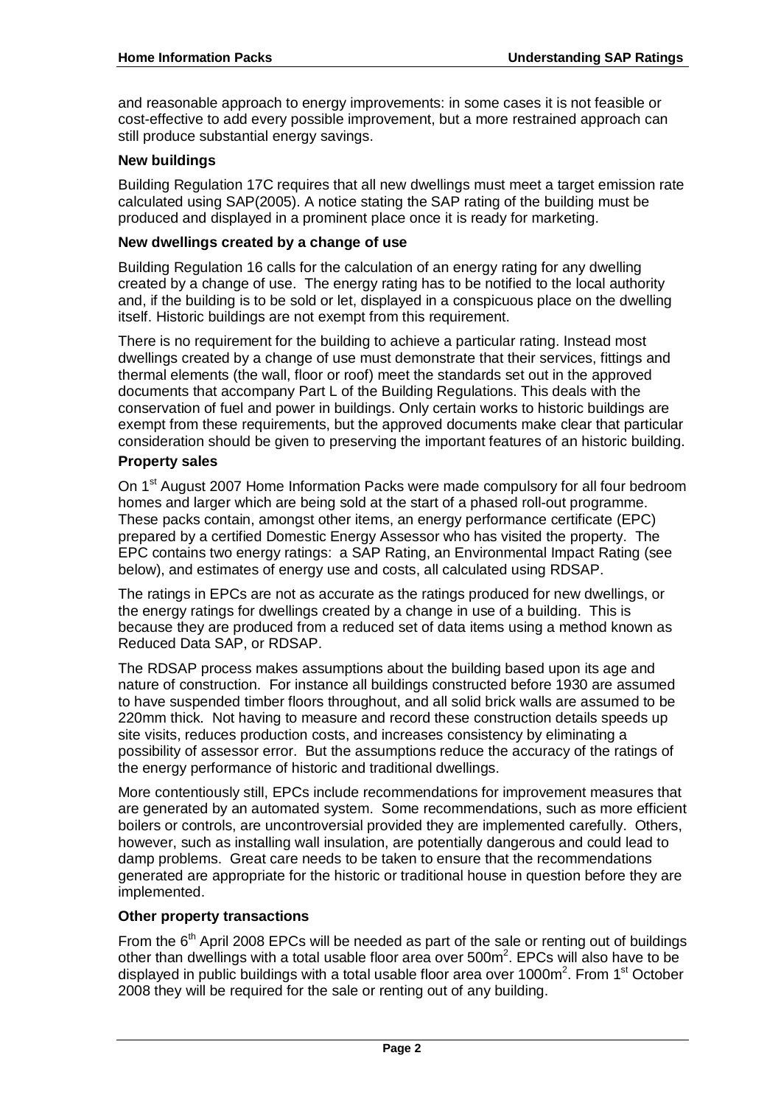and reasonable approach to energy improvements: in some cases it is not feasible or cost-effective to add every possible improvement, but a more restrained approach can still produce substantial energy savings.

### **New buildings**

Building Regulation 17C requires that all new dwellings must meet a target emission rate calculated using SAP(2005). A notice stating the SAP rating of the building must be produced and displayed in a prominent place once it is ready for marketing.

#### **New dwellings created by a change of use**

Building Regulation 16 calls for the calculation of an energy rating for any dwelling created by a change of use. The energy rating has to be notified to the local authority and, if the building is to be sold or let, displayed in a conspicuous place on the dwelling itself. Historic buildings are not exempt from this requirement.

There is no requirement for the building to achieve a particular rating. Instead most dwellings created by a change of use must demonstrate that their services, fittings and thermal elements (the wall, floor or roof) meet the standards set out in the approved documents that accompany Part L of the Building Regulations. This deals with the conservation of fuel and power in buildings. Only certain works to historic buildings are exempt from these requirements, but the approved documents make clear that particular consideration should be given to preserving the important features of an historic building.

#### **Property sales**

On 1<sup>st</sup> August 2007 Home Information Packs were made compulsory for all four bedroom homes and larger which are being sold at the start of a phased roll-out programme. These packs contain, amongst other items, an energy performance certificate (EPC) prepared by a certified Domestic Energy Assessor who has visited the property. The EPC contains two energy ratings: a SAP Rating, an Environmental Impact Rating (see below), and estimates of energy use and costs, all calculated using RDSAP.

The ratings in EPCs are not as accurate as the ratings produced for new dwellings, or the energy ratings for dwellings created by a change in use of a building. This is because they are produced from a reduced set of data items using a method known as Reduced Data SAP, or RDSAP.

The RDSAP process makes assumptions about the building based upon its age and nature of construction. For instance all buildings constructed before 1930 are assumed to have suspended timber floors throughout, and all solid brick walls are assumed to be 220mm thick. Not having to measure and record these construction details speeds up site visits, reduces production costs, and increases consistency by eliminating a possibility of assessor error. But the assumptions reduce the accuracy of the ratings of the energy performance of historic and traditional dwellings.

 More contentiously still, EPCs include recommendations for improvement measures that are generated by an automated system. Some recommendations, such as more efficient boilers or controls, are uncontroversial provided they are implemented carefully. Others, however, such as installing wall insulation, are potentially dangerous and could lead to damp problems. Great care needs to be taken to ensure that the recommendations generated are appropriate for the historic or traditional house in question before they are implemented.

# **Other property transactions**

From the  $6<sup>th</sup>$  April 2008 EPCs will be needed as part of the sale or renting out of buildings other than dwellings with a total usable floor area over 500m<sup>2</sup>. EPCs will also have to be displayed in public buildings with a total usable floor area over 1000 $m^2$ . From 1<sup>st</sup> October 2008 they will be required for the sale or renting out of any building.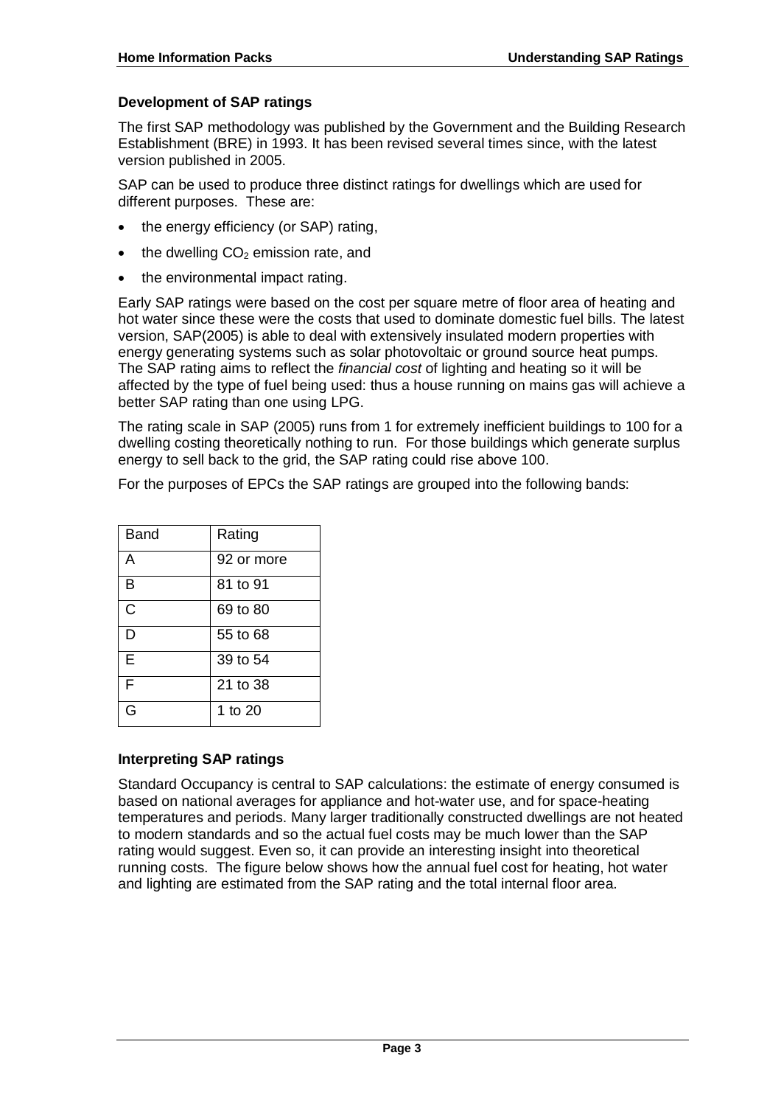# **Development of SAP ratings**

The first SAP methodology was published by the Government and the Building Research Establishment (BRE) in 1993. It has been revised several times since, with the latest version published in 2005.

 SAP can be used to produce three distinct ratings for dwellings which are used for different purposes. These are:

- the energy efficiency (or SAP) rating,
- the dwelling  $CO<sub>2</sub>$  emission rate, and
- the environmental impact rating.

Early SAP ratings were based on the cost per square metre of floor area of heating and hot water since these were the costs that used to dominate domestic fuel bills. The latest version, SAP(2005) is able to deal with extensively insulated modern properties with energy generating systems such as solar photovoltaic or ground source heat pumps. The SAP rating aims to reflect the *financial cost* of lighting and heating so it will be affected by the type of fuel being used: thus a house running on mains gas will achieve a better SAP rating than one using LPG.

The rating scale in SAP (2005) runs from 1 for extremely inefficient buildings to 100 for a dwelling costing theoretically nothing to run. For those buildings which generate surplus energy to sell back to the grid, the SAP rating could rise above 100.

For the purposes of EPCs the SAP ratings are grouped into the following bands:

| Band | Rating     |
|------|------------|
| А    | 92 or more |
| B    | 81 to 91   |
| Ć    | 69 to 80   |
| D    | 55 to 68   |
| E    | 39 to 54   |
| F    | 21 to 38   |
| Ġ    | 1 to 20    |

# **Interpreting SAP ratings**

 Standard Occupancy is central to SAP calculations: the estimate of energy consumed is based on national averages for appliance and hot-water use, and for space-heating temperatures and periods. Many larger traditionally constructed dwellings are not heated to modern standards and so the actual fuel costs may be much lower than the SAP rating would suggest. Even so, it can provide an interesting insight into theoretical running costs. The figure below shows how the annual fuel cost for heating, hot water and lighting are estimated from the SAP rating and the total internal floor area.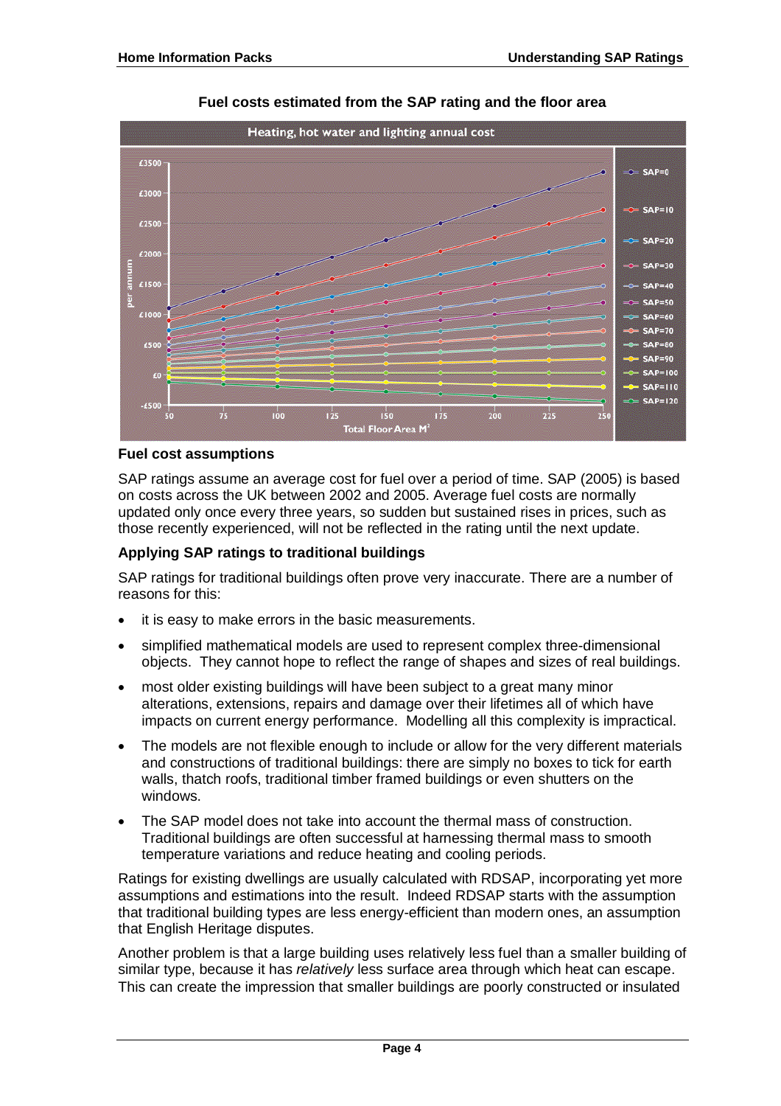

# **Fuel costs estimated from the SAP rating and the floor area**

# **Fuel cost assumptions**

SAP ratings assume an average cost for fuel over a period of time. SAP (2005) is based on costs across the UK between 2002 and 2005. Average fuel costs are normally updated only once every three years, so sudden but sustained rises in prices, such as those recently experienced, will not be reflected in the rating until the next update.

# **Applying SAP ratings to traditional buildings**

SAP ratings for traditional buildings often prove very inaccurate. There are a number of reasons for this:

- it is easy to make errors in the basic measurements.
- simplified mathematical models are used to represent complex three-dimensional objects. They cannot hope to reflect the range of shapes and sizes of real buildings.
- most older existing buildings will have been subject to a great many minor alterations, extensions, repairs and damage over their lifetimes all of which have impacts on current energy performance. Modelling all this complexity is impractical.
- The models are not flexible enough to include or allow for the very different materials and constructions of traditional buildings: there are simply no boxes to tick for earth walls, thatch roofs, traditional timber framed buildings or even shutters on the windows.
- The SAP model does not take into account the thermal mass of construction. Traditional buildings are often successful at harnessing thermal mass to smooth temperature variations and reduce heating and cooling periods.

Ratings for existing dwellings are usually calculated with RDSAP, incorporating yet more assumptions and estimations into the result. Indeed RDSAP starts with the assumption that traditional building types are less energy-efficient than modern ones, an assumption that English Heritage disputes.

Another problem is that a large building uses relatively less fuel than a smaller building of similar type, because it has *relatively* less surface area through which heat can escape. This can create the impression that smaller buildings are poorly constructed or insulated